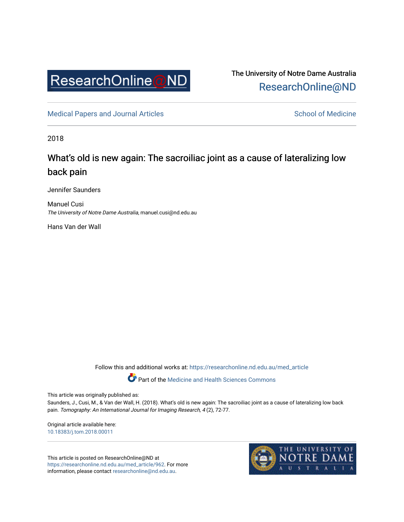

The University of Notre Dame Australia [ResearchOnline@ND](https://researchonline.nd.edu.au/) 

[Medical Papers and Journal Articles](https://researchonline.nd.edu.au/med_article) and School of Medicine

2018

# What's old is new again: The sacroiliac joint as a cause of lateralizing low back pain

Jennifer Saunders

Manuel Cusi The University of Notre Dame Australia, manuel.cusi@nd.edu.au

Hans Van der Wall

Follow this and additional works at: [https://researchonline.nd.edu.au/med\\_article](https://researchonline.nd.edu.au/med_article?utm_source=researchonline.nd.edu.au%2Fmed_article%2F962&utm_medium=PDF&utm_campaign=PDFCoverPages) 

**Part of the [Medicine and Health Sciences Commons](http://network.bepress.com/hgg/discipline/648?utm_source=researchonline.nd.edu.au%2Fmed_article%2F962&utm_medium=PDF&utm_campaign=PDFCoverPages)** 

This article was originally published as:

Saunders, J., Cusi, M., & Van der Wall, H. (2018). What's old is new again: The sacroiliac joint as a cause of lateralizing low back pain. Tomography: An International Journal for Imaging Research, 4 (2), 72-77.

Original article available here: [10.18383/j.tom.2018.00011](https://doi.org/10.18383/j.tom.2018.00011) 

This article is posted on ResearchOnline@ND at [https://researchonline.nd.edu.au/med\\_article/962](https://researchonline.nd.edu.au/med_article/962). For more information, please contact [researchonline@nd.edu.au.](mailto:researchonline@nd.edu.au)

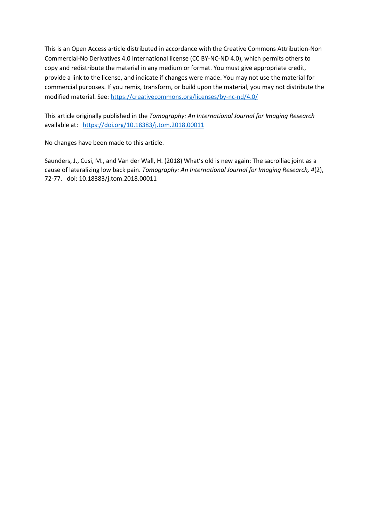This is an Open Access article distributed in accordance with the Creative Commons Attribution-Non Commercial-No Derivatives 4.0 International license (CC BY-NC-ND 4.0), which permits others to copy and redistribute the material in any medium or format. You must give appropriate credit, provide a link to the license, and indicate if changes were made. You may not use the material for commercial purposes. If you remix, transform, or build upon the material, you may not distribute the modified material. See[: https://creativecommons.org/licenses/by-nc-nd/4.0/](https://creativecommons.org/licenses/by-nc-nd/4.0/)

This article originally published in the *Tomography: An International Journal for Imaging Research* available at: <https://doi.org/10.18383/j.tom.2018.00011>

No changes have been made to this article.

Saunders, J., Cusi, M., and Van der Wall, H. (2018) What's old is new again: The sacroiliac joint as a cause of lateralizing low back pain. *Tomography: An International Journal for Imaging Research, 4*(2), 72-77. doi: 10.18383/j.tom.2018.00011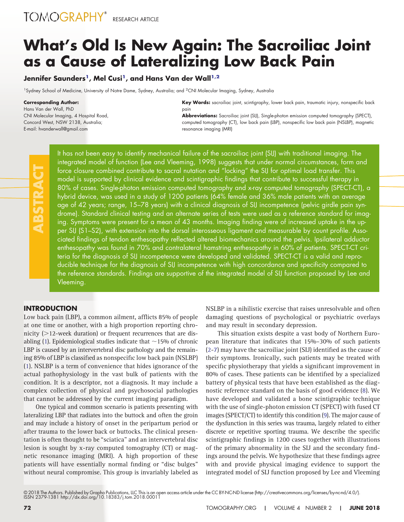# **What's Old Is New Again: The Sacroiliac Joint as a Cause of Lateralizing Low Back Pain**

## Jennifer Saunders<sup>1</sup>, Mel Cusi<sup>1</sup>, and Hans Van der Wall<sup>1,2</sup>

<sup>1</sup>Sydney School of Medicine, University of Notre Dame, Sydney, Australia; and <sup>2</sup>CNI Molecular Imaging, Sydney, Australia

#### **Corresponding Author:**

Hans Van der Wall, PhD CNI Molecular Imaging, 4 Hospital Road, Concord West, NSW 2138, Australia; E-mail: hvanderwall@gmail.com

**Key Words:** sacroiliac joint, scintigraphy, lower back pain, traumatic injury, nonspecific back pain

**Abbreviations:** Sacroiliac joint (SIJ), Single-photon emission computed tomography (SPECT), computed tomography (CT), low back pain (LBP), nonspecific low back pain (NSLBP), magnetic resonance imaging (MRI)

It has not been easy to identify mechanical failure of the sacroiliac joint (SIJ) with traditional imaging. The integrated model of function (Lee and Vleeming, 1998) suggests that under normal circumstances, form and force closure combined contribute to sacral nutation and "locking" the SIJ for optimal load transfer. This model is supported by clinical evidence and scintigraphic findings that contribute to successful therapy in 80% of cases. Single-photon emission computed tomography and x-ray computed tomography (SPECT-CT), a hybrid device, was used in a study of 1200 patients (64% female and 36% male patients with an average age of 42 years; range, 15–78 years) with a clinical diagnosis of SIJ incompetence (pelvic girdle pain syndrome). Standard clinical testing and an alternate series of tests were used as a reference standard for imaging. Symptoms were present for a mean of 43 months. Imaging finding were of increased uptake in the upper SIJ (S1–S2), with extension into the dorsal interosseous ligament and measurable by count profile. Associated findings of tendon enthesopathy reflected altered biomechanics around the pelvis. Ipsilateral adductor enthesopathy was found in 70% and contralateral hamstring enthesopathy in 60% of patients. SPECT-CT criteria for the diagnosis of SIJ incompetence were developed and validated. SPECT-CT is a valid and reproducible technique for the diagnosis of SIJ incompetence with high concordance and specificity compared to the reference standards. Findings are supportive of the integrated model of SIJ function proposed by Lee and Vleeming.

### **INTRODUCTION**

Low back pain (LBP), a common ailment, afflicts 85% of people at one time or another, with a high proportion reporting chronicity (>12-week duration) or frequent recurrences that are dis-abling [\(1\)](#page-6-0). Epidemiological studies indicate that  $\sim$  15% of chronic LBP is caused by an intervertebral disc pathology and the remaining 85% of LBP is classified as nonspecific low back pain (NSLBP) [\(1\)](#page-6-0). NSLBP is a term of convenience that hides ignorance of the actual pathophysiology in the vast bulk of patients with the condition. It is a descriptor, not a diagnosis. It may include a complex collection of physical and psychosocial pathologies that cannot be addressed by the current imaging paradigm.

One typical and common scenario is patients presenting with lateralizing LBP that radiates into the buttock and often the groin and may include a history of onset in the peripartum period or after trauma to the lower back or buttocks. The clinical presentation is often thought to be "sciatica" and an intervertebral disc lesion is sought by x-ray computed tomography (CT) or magnetic resonance imaging (MRI). A high proportion of these patients will have essentially normal finding or "disc bulges" without neural compromise. This group is invariably labeled as

NSLBP in a nihilistic exercise that raises unresolvable and often damaging questions of psychological or psychiatric overlays and may result in secondary depression.

This situation exists despite a vast body of Northern European literature that indicates that 15%–30% of such patients [\(2](#page-6-1)[-7\)](#page-6-2) may have the sacroiliac joint (SIJ) identified as the cause of their symptoms. Ironically, such patients may be treated with specific physiotherapy that yields a significant improvement in 80% of cases. These patients can be identified by a specialized battery of physical tests that have been established as the diagnostic reference standard on the basis of good evidence [\(8\)](#page-6-3). We have developed and validated a bone scintigraphic technique with the use of single-photon emission CT (SPECT) with fused CT images (SPECT/CT) to identify this condition [\(9\)](#page-7-0). The major cause of the dysfunction in this series was trauma, largely related to either discrete or repetitive sporting trauma. We describe the specific scintigraphic findings in 1200 cases together with illustrations of the primary abnormality in the SIJ and the secondary findings around the pelvis. We hypothesize that these findings agree with and provide physical imaging evidence to support the integrated model of SIJ function proposed by Lee and Vleeming

<sup>© 2018</sup> The Authors. Published by Grapho Publications, LLC This is an open access article under the CC BY-NC-ND license [\(http://creativecommons.org/licenses/by-nc-nd/4.0/\)](http://creativecommons.org/licenses/by-nc-nd/4.0/).<br>ISSN 2379-1381 http://dx.doi.org/10.18383/j.tom.20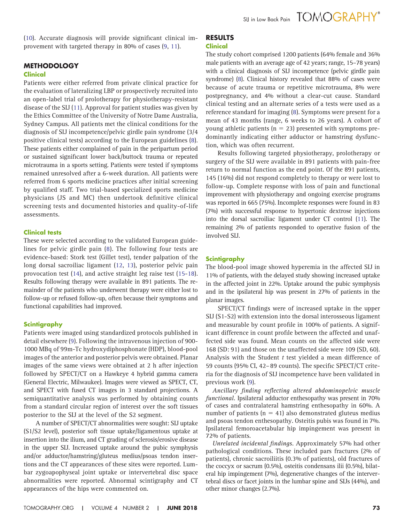[\(10\)](#page-7-1). Accurate diagnosis will provide significant clinical improvement with targeted therapy in 80% of cases [\(9,](#page-7-0) [11\)](#page-7-2).

## **METHODOLOGY**

## **Clinical**

Patients were either referred from private clinical practice for the evaluation of lateralizing LBP or prospectively recruited into an open-label trial of prolotherapy for physiotherapy-resistant disease of the SIJ [\(11\)](#page-7-2). Approval for patient studies was given by the Ethics Committee of the University of Notre Dame Australia, Sydney Campus. All patients met the clinical conditions for the diagnosis of SIJ incompetence/pelvic girdle pain syndrome (3/4 positive clinical tests) according to the European guidelines [\(8\)](#page-6-3). These patients either complained of pain in the peripartum period or sustained significant lower back/buttock trauma or repeated microtrauma in a sports setting. Patients were tested if symptoms remained unresolved after a 6-week duration. All patients were referred from 6 sports medicine practices after initial screening by qualified staff. Two trial-based specialized sports medicine physicians (JS and MC) then undertook definitive clinical screening tests and documented histories and quality-of-life assessments.

### **Clinical tests**

These were selected according to the validated European guidelines for pelvic girdle pain [\(8\)](#page-6-3). The following four tests are evidence-based: Stork test (Gillet test), tender palpation of the long dorsal sacroiliac ligament [\(12,](#page-7-3) [13\)](#page-7-4), posterior pelvic pain provocation test [\(14\)](#page-7-5), and active straight leg raise test [\(15](#page-7-6)[-18\)](#page-7-7). Results following therapy were available in 891 patients. The remainder of the patients who underwent therapy were either lost to follow-up or refused follow-up, often because their symptoms and functional capabilities had improved.

### **Scintigraphy**

Patients were imaged using standardized protocols published in detail elsewhere [\(9\)](#page-7-0). Following the intravenous injection of 900- 1000 MBq of 99m-Tc hydroxydiphosphonate (HDP), blood-pool images of the anterior and posterior pelvis were obtained. Planar images of the same views were obtained at 2 h after injection followed by SPECT/CT on a Hawkeye 4 hybrid gamma camera (General Electric, Milwaukee). Images were viewed as SPECT, CT, and SPECT with fused CT images in 3 standard projections. A semiquantitative analysis was performed by obtaining counts from a standard circular region of interest over the soft tissues posterior to the SIJ at the level of the S2 segment.

A number of SPECT/CT abnormalities were sought: SIJ uptake (S1/S2 level), posterior soft tissue uptake/ligamentous uptake at insertion into the ilium, and CT grading of sclerosis/erosive disease in the upper SIJ. Increased uptake around the pubic symphysis and/or adductor/hamstring/gluteus medius/psoas tendon insertions and the CT appearances of these sites were reported. Lumbar zygoapophyseal joint uptake or intervertebral disc space abnormalities were reported. Abnormal scintigraphy and CT appearances of the hips were commented on.

## **RESULTS**

**Clinical**

The study cohort comprised 1200 patients (64% female and 36% male patients with an average age of 42 years; range, 15–78 years) with a clinical diagnosis of SIJ incompetence (pelvic girdle pain syndrome) [\(8\)](#page-6-3). Clinical history revealed that 88% of cases were because of acute trauma or repetitive microtrauma, 8% were postpregnancy, and 4% without a clear-cut cause. Standard clinical testing and an alternate series of a tests were used as a reference standard for imaging [\(8\)](#page-6-3). Symptoms were present for a mean of 43 months (range, 6 weeks to 26 years). A cohort of young athletic patients ( $n = 23$ ) presented with symptoms predominantly indicating either adductor or hamstring dysfunction, which was often recurrent.

Results following targeted physiotherapy, prolotherapy or surgery of the SIJ were available in 891 patients with pain-free return to normal function as the end point. Of the 891 patients, 145 (16%) did not respond completely to therapy or were lost to follow-up. Complete response with loss of pain and functional improvement with physiotherapy and ongoing exercise programs was reported in 665 (75%). Incomplete responses were found in 83 (7%) with successful response to hypertonic dextrose injections into the dorsal sacroiliac ligament under CT control [\(11\)](#page-7-2). The remaining 2% of patients responded to operative fusion of the involved SIJ.

## **Scintigraphy**

The blood-pool image showed hyperemia in the affected SIJ in 11% of patients, with the delayed study showing increased uptake in the affected joint in 22%. Uptake around the pubic symphysis and in the ipsilateral hip was present in 27% of patients in the planar images.

SPECT/CT findings were of increased uptake in the upper SIJ (S1-S2) with extension into the dorsal interosseous ligament and measurable by count profile in 100% of patients. A significant difference in count profile between the affected and unaffected side was found. Mean counts on the affected side were 168 (SD: 91) and those on the unaffected side were 109 (SD, 60). Analysis with the Student *t* test yielded a mean difference of 59 counts (95% CI, 42– 89 counts). The specific SPECT/CT criteria for the diagnosis of SIJ incompetence have been validated in previous work [\(9\)](#page-7-0).

*Ancillary finding reflecting altered abdominopelvic muscle functional.* Ipsilateral adductor enthesopathy was present in 70% of cases and contralateral hamstring enthesopathy in 60%. A number of patients ( $n = 41$ ) also demonstrated gluteus medius and psoas tendon enthesopathy. Osteitis pubis was found in 7%. Ipsilateral femoroacetabular hip impingement was present in 72% of patients.

*Unrelated incidental findings.* Approximately 57% had other pathological conditions. These included pars fractures (2% of patients), chronic sacroiliitis (0.3% of patients), old fractures of the coccyx or sacrum (0.5%), osteitis condensans ilii (0.5%), bilateral hip impingement (7%), degenerative changes of the intervertebral discs or facet joints in the lumbar spine and SIJs (44%), and other minor changes (2.7%).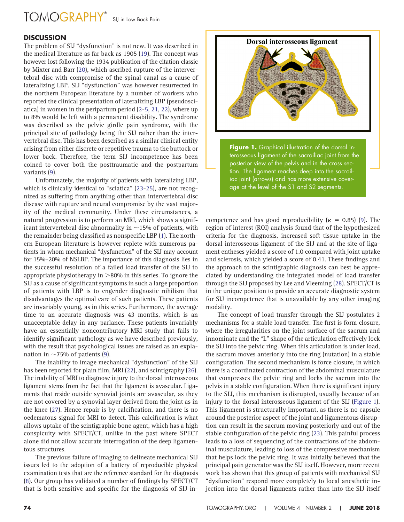# TOMOGRAPHY<sup>®</sup> SIJ in Low Back Pain

## **DISCUSSION**

The problem of SIJ "dysfunction" is not new. It was described in the medical literature as far back as 1905 [\(19\)](#page-7-8). The concept was however lost following the 1934 publication of the citation classic by Mixter and Barr [\(20\)](#page-7-9), which ascribed rupture of the intervertebral disc with compromise of the spinal canal as a cause of lateralizing LBP. SIJ "dysfunction" was however resurrected in the northern European literature by a number of workers who reported the clinical presentation of lateralizing LBP (pseudosciatica) in women in the peripartum period [\(2](#page-6-1)[-5,](#page-6-4) [21,](#page-7-10) [22\)](#page-7-11), where up to 8% would be left with a permanent disability. The syndrome was described as the pelvic girdle pain syndrome, with the principal site of pathology being the SIJ rather than the intervertebral disc. This has been described as a similar clinical entity arising from either discrete or repetitive trauma to the buttock or lower back. Therefore, the term SIJ incompetence has been coined to cover both the posttraumatic and the postpartum variants [\(9\)](#page-7-0).

Unfortunately, the majority of patients with lateralizing LBP, which is clinically identical to "sciatica" [\(23](#page-7-12)[-25\)](#page-7-13), are not recognized as suffering from anything other than intervertebral disc disease with rupture and neural compromise by the vast majority of the medical community. Under these circumstances, a natural progression is to perform an MRI, which shows a significant intervertebral disc abnormality in  $\sim$  15% of patients, with the remainder being classified as nonspecific LBP [\(1\)](#page-6-0). The northern European literature is however replete with numerous patients in whom mechanical "dysfunction" of the SIJ may account for 15%–20% of NSLBP. The importance of this diagnosis lies in the successful resolution of a failed load transfer of the SIJ to appropriate physiotherapy in  $>$ 80% in this series. To ignore the SIJ as a cause of significant symptoms in such a large proportion of patients with LBP is to engender diagnostic nihilism that disadvantages the optimal care of such patients. These patients are invariably young, as in this series. Furthermore, the average time to an accurate diagnosis was 43 months, which is an unacceptable delay in any parlance. These patients invariably have an essentially noncontributory MRI study that fails to identify significant pathology as we have described previously, with the result that psychological issues are raised as an explanation in  $\sim$  75% of patients [\(9\)](#page-7-0).

The inability to image mechanical "dysfunction" of the SIJ has been reported for plain film, MRI [\(22\)](#page-7-11), and scintigraphy [\(26\)](#page-7-14). The inability of MRI to diagnose injury to the dorsal interosseous ligament stems from the fact that the ligament is avascular. Ligaments that reside outside synovial joints are avascular, as they are not covered by a synovial layer derived from the joint as in the knee [\(27\)](#page-7-15). Hence repair is by calcification, and there is no oedematous signal for MRI to detect. This calcification is what allows uptake of the scintigraphic bone agent, which has a high conspicuity with SPECT/CT, unlike in the past where SPECT alone did not allow accurate interrogation of the deep ligamentous structures.

The previous failure of imaging to delineate mechanical SIJ issues led to the adoption of a battery of reproducible physical examination tests that are the reference standard for the diagnosis [\(8\)](#page-6-3). Our group has validated a number of findings by SPECT/CT that is both sensitive and specific for the diagnosis of SIJ in-

<span id="page-4-0"></span>

competence and has good reproducibility ( $\kappa = 0.85$ ) [\(9\)](#page-7-0). The region of interest (ROI) analysis found that of the hypothesized criteria for the diagnosis, increased soft tissue uptake in the dorsal interosseous ligament of the SIJ and at the site of ligament entheses yielded a score of 1.0 compared with joint uptake and sclerosis, which yielded a score of 0.41. These findings and the approach to the scintigraphic diagnosis can best be appreciated by understanding the integrated model of load transfer through the SIJ proposed by Lee and Vleeming [\(28\)](#page-7-16). SPECT/CT is in the unique position to provide an accurate diagnostic system for SIJ incompetence that is unavailable by any other imaging modality.

The concept of load transfer through the SIJ postulates 2 mechanisms for a stable load transfer. The first is form closure, where the irregularities on the joint surface of the sacrum and innominate and the "L" shape of the articulation effectively lock the SIJ into the pelvic ring. When this articulation is under load, the sacrum moves anteriorly into the ring (nutation) in a stable configuration. The second mechanism is force closure, in which there is a coordinated contraction of the abdominal musculature that compresses the pelvic ring and locks the sacrum into the pelvis in a stable configuration. When there is significant injury to the SIJ, this mechanism is disrupted, usually because of an injury to the dorsal interosseous ligament of the SIJ [\(Figure 1\)](#page-4-0). This ligament is structurally important, as there is no capsule around the posterior aspect of the joint and ligamentous disruption can result in the sacrum moving posteriorly and out of the stable configuration of the pelvic ring [\(23\)](#page-7-12). This painful process leads to a loss of sequencing of the contractions of the abdominal musculature, leading to loss of the compressive mechanism that helps lock the pelvic ring. It was initially believed that the principal pain generator was the SIJ itself. However, more recent work has shown that this group of patients with mechanical SIJ "dysfunction" respond more completely to local anesthetic injection into the dorsal ligaments rather than into the SIJ itself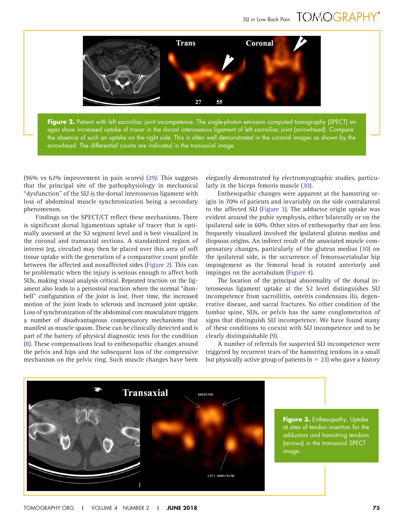# SIJ in Low Back Pain TOMOGRAPHY®



<span id="page-5-0"></span>**Figure 2.** Patient with left sacroiliac joint incompetence. The single-photon emission computed tomography (SPECT) images show increased uptake of tracer in the dorsal interosseous ligament of left sacroiliac joint (arrowhead). Compare the absence of such an uptake on the right side. This is often well demonstrated in the coronal images as shown by the arrowhead. The differential counts are indicated in the transaxial image.

(96% vs 62% improvement in pain scores) [\(29\)](#page-7-17). This suggests that the principal site of the pathophysiology in mechanical "dysfunction" of the SIJ is the dorsal interosseous ligament with loss of abdominal muscle synchronization being a secondary phenomenon.

Findings on the SPECT/CT reflect these mechanisms. There is significant dorsal ligamentous uptake of tracer that is optimally assessed at the S2 segment level and is best visualized in the coronal and transaxial sections. A standardized region of interest (eg, circular) may then be placed over this area of soft tissue uptake with the generation of a comparative count profile between the affected and nonaffected sides [\(Figure 2\)](#page-5-0). This can be problematic when the injury is serious enough to affect both SIJs, making visual analysis critical. Repeated traction on the ligament also leads to a periosteal reaction where the normal "dumbell" configuration of the joint is lost. Over time, the increased motion of the joint leads to sclerosis and increased joint uptake. Loss of synchronization of the abdominal core musculature triggers a number of disadvantageous compensatory mechanisms that manifest as muscle spasm. These can be clinically detected and is part of the battery of physical diagnostic tests for the condition [\(8\)](#page-6-3). These compensations lead to enthesopathic changes around the pelvis and hips and the subsequent loss of the compressive mechanism on the pelvic ring. Such muscle changes have been

elegantly demonstrated by electromyographic studies, particularly in the biceps femoris muscle [\(30\)](#page-7-18).

Enthesopathic changes were apparent at the hamstring origin in 70% of patients and invariably on the side contralateral to the affected SIJ [\(Figure 3\)](#page-5-1). The adductor origin uptake was evident around the pubic symphysis, either bilaterally or on the ipsilateral side in 60%. Other sites of enthesopathy that are less frequently visualized involved the ipsilateral gluteus medius and iliopsoas origins. An indirect result of the associated muscle compensatory changes, particularly of the gluteus medius [\(30\)](#page-7-18) on the ipsilateral side, is the occurrence of femoroacetabular hip impingement as the femoral head is rotated anteriorly and impinges on the acetabulum [\(Figure 4\)](#page-6-5).

The location of the principal abnormality of the dorsal interosseous ligament uptake at the S2 level distinguishes SIJ incompetence from sacroiliitis, osteitis condensans ilii, degenerative disease, and sacral fractures. No other condition of the lumbar spine, SIJs, or pelvis has the same conglomeration of signs that distinguish SIJ incompetence. We have found many of these conditions to coexist with SIJ incompetence and to be clearly distinguishable [\(9\)](#page-7-0).

A number of referrals for suspected SIJ incompetence were triggered by recurrent tears of the hamstring tendons in a small but physically active group of patients ( $n = 23$ ) who gave a history



<span id="page-5-1"></span>**Figure 3.** Enthesopathy. Uptake at sites of tendon insertion for the adductors and hamstring tendons (arrows) in the transaxial SPECT image.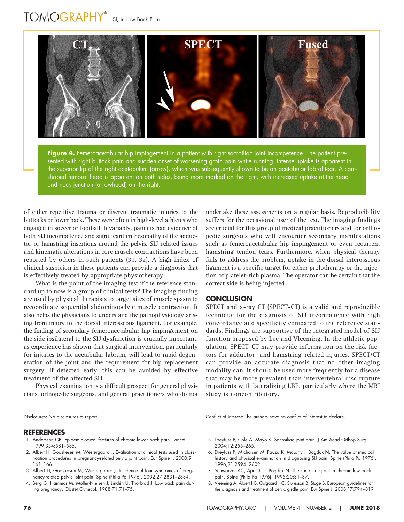# TOMOGRAPHY<sup>®</sup> SIJ in Low Back Pain



<span id="page-6-5"></span>**Figure 4.** Femeroacetabular hip impingement in a patient with right sacroiliac joint incompetence. The patient presented with right buttock pain and sudden onset of worsening groin pain while running. Intense uptake is apparent in the superior lip of the right acetabulum (arrow), which was subsequently shown to be an acetabular labral tear. A camshaped femoral head is apparent on both sides, being more marked on the right, with increased uptake at the head and neck junction (arrowhead) on the right.

of either repetitive trauma or discrete traumatic injuries to the buttocks or lower back. These were often in high-level athletes who engaged in soccer or football. Invariably, patients had evidence of both SIJ incompetence and significant enthesopathy of the adductor or hamstring insertions around the pelvis. SIJ-related issues and kinematic alterations in core muscle contractions have been reported by others in such patients [\(31,](#page-7-19) [32\)](#page-7-20). A high index of clinical suspicion in these patients can provide a diagnosis that is effectively treated by appropriate physiotherapy.

What is the point of the imaging test if the reference standard up to now is a group of clinical tests? The imaging finding are used by physical therapists to target sites of muscle spasm to recoordinate sequential abdominopelvic muscle contraction. It also helps the physicians to understand the pathophysiology arising from injury to the dorsal interosseous ligament. For example, the finding of secondary femeroacetabular hip impingement on the side ipsilateral to the SIJ dysfunction is crucially important, as experience has shown that surgical intervention, particularly for injuries to the acetabular labrum, will lead to rapid degeneration of the joint and the requirement for hip replacement surgery. If detected early, this can be avoided by effective treatment of the affected SIJ.

Physical examination is a difficult prospect for general physicians, orthopedic surgeons, and general practitioners who do not

#### <span id="page-6-0"></span>**REFERENCES**

- 1. Andersson GB. Epidemiological features of chronic lower back pain. Lancet. 1999;354:581–585.
- <span id="page-6-1"></span>2. Albert H, Godskesen M, Westergaard J. Evaluation of clinical tests used in classification procedures in pregnancy-related pelvic joint pain. Eur Spine J. 2000;9: 161–166.
- 3. Albert H, Godskesen M, Westergaard J. Incidence of four syndromes of pregnancy-related pelvic joint pain. Spine (Phila Pa 1976). 2002;27:2831–2834.
- 4. Berg G, Hammar M, Möller-Nielsen J, Lindén U, Thorblad J. Low back pain during pregnancy. Obstet Gynecol. 1988;71:71–75.

undertake these assessments on a regular basis. Reproducibility suffers for the occasional user of the test. The imaging findings are crucial for this group of medical practitioners and for orthopedic surgeons who will encounter secondary manifestations such as femeroacetabular hip impingement or even recurrent hamstring tendon tears. Furthermore, when physical therapy fails to address the problem, uptake in the dorsal interosseous ligament is a specific target for either prolotherapy or the injection of platelet-rich plasma. The operator can be certain that the correct side is being injected.

### **CONCLUSION**

SPECT and x-ray CT (SPECT-CT) is a valid and reproducible technique for the diagnosis of SIJ incompetence with high concordance and specificity compared to the reference standards. Findings are supportive of the integrated model of SIJ function proposed by Lee and Vleeming. In the athletic population, SPECT-CT may provide information on the risk factors for adductor- and hamstring-related injuries. SPECT/CT can provide an accurate diagnosis that no other imaging modality can. It should be used more frequently for a disease that may be more prevalent than intervertebral disc rupture in patients with lateralizing LBP, particularly where the MRI study is noncontributory.

Disclosures: No disclosures to report. Conflict of Interest: The authors have no conflict of interest to declare.

- <span id="page-6-4"></span>5. Dreyfuss P, Cole A, Mayo K. Sacroiliac joint pain. J Am Acad Orthop Surg. 2004;12:255–265.
- 6. Dreyfuss P, Michalsen M, Pauza K, McLarty J, Bogduk N. The value of medical history and physical examination in diagnosing SIJ pain. Spine (Phila Pa 1976). 1996;21:2594 –2602.
- <span id="page-6-2"></span>7. Schwarzer AC, Aprill CD, Bogduk N. The sacroiliac joint in chronic low back pain. Spine (Phila Pa 1976). 1995;20:31–37.
- <span id="page-6-3"></span>8. Vleeming A, Albert HB, Ostgaard HC, Sturesson B, Stuge B. European guidelines for the diagnosis and treatment of pelvic girdle pain. Eur Spine J. 2008;17:794 –819.